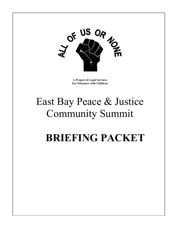

**A Project of Legal Services For Prisoners with Children** 

# East Bay Peace & Justice Community Summit

# **BRIEFING PACKET**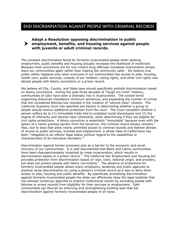## END DISCRIMINATION AGAINST PEOPLE WITH CRIMINAL RECORDS

# <sup>h</sup> **Adopt a Resolution opposing discrimination in public employment, benefits, and housing services against people with juvenile or adult criminal records.**

The constant discrimination faced by formerly-incarcerated people when seeking employment, public benefits and housing actually increases the likelihood of recidivism. Because most convictions are for non-violent drug offenses increased incarceration simply tears our communities apart rather than making the community safer. We believe true public safety happens only when everyone in our communities has access to jobs, housing, health care, public services, custody of our children, voting rights, and other civil rights now denied people with felony convictions or a prison record.

We believe all City, County, and State laws should specifically prohibit discrimination based on felony convictions. During the past three decades of "tough on crime" rhetoric, communities of color have seen a dramatic rise in incarceration. The overall trend supporting draconian mandatory minimum sentences, and expanding the number of crimes that are considered felonies has resulted in the creation of "second class" citizens. The California Supreme Court has specified two factors in determining whether a group of people should receive additional protection from the court. The Court considers whether a person suffers do to (1) immutable traits tied to outdated social stereotypes and (2) the stigma of inferiority and second-class citizenship, when determining if they are eligible for civil rights protections. A felony conviction is essentially "immutable" because even with the option of a rarely granted pardon from the Governor, the criminal record always remains.<sup>1</sup> Also, due to laws that allow nearly unlimited access to criminal records and blanket denials of access to public services, licenses and employment, a whole class of Californians has been "relegated to an inferior legal status without regard to the capabilities or characteristics of its individual members."[2](#page-3-1)

Discrimination against former prisoners acts as a barrier to the economic and social recovery of our communities. It is well documented that Black and Latino communities have been disproportionately impacted by mass incarceration, which results in discrimination based on a prison record.<sup>[3](#page-3-2)</sup> The California Fair Employment and Housing Act provides protection from discrimination based on race, color, national origin, and ancestry, but does not protect people with felony convictions. $4$  The absence of protections for formerly-incarcerated people allows many employers, landlords and public agencies to practice racial discrimination by using a person's criminal record as a way to deny them access to jobs, housing and public benefits. By specifically prohibiting discrimination against formerly incarcerated people the state can effectively close the legal loophole that has allowed numerous agencies to practice institutional racism by excluding people with felonies or arrest records from eligibility for their services or employment. Safe communities can flourish by enforcing and strengthening existing laws that bar discrimination against formerly-incarcerated people of all races.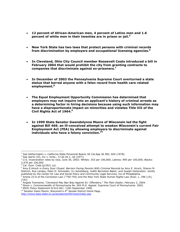- **12 percent of African-American men, 4 percent of Latino men and 1.6 percent of white men in their twenties are in prison or jail.[5](#page-3-4)**
- **New York State has two laws that protect persons with criminal records from discrimination by employers and occupational licensing agencies.[6](#page-3-5)**
- **In Cleveland, Ohio City Council member Roosevelt Coats introduced a bill in February 2004 that would prohibit the city from granting contracts to companies that discriminate against ex-prisoners.[7](#page-3-6)**
- **In December of 2003 the Pennsylvania Supreme Court overturned a state statue that barred anyone with a felon record from health care related employment.[8](#page-3-7)**
- **The Equal Employment Opportunity Commission has determined that employers may not inquire into an applicant's history of criminal arrests as a determining factor in hiring decisions because using such information may have a disproportionate impact on minorities and violates Title VII of the Civil Rights Act of 1964.[9](#page-3-8)**
- **In 1999 State Senator Gwendolynne Moore of Wisconsin led the fight against Bill 469, an ill-conceived attempt to weaken Wisconsin's current Fair Employment Act (FEA) by allowing employers to discriminate against individuals who have a felony conviction.[10](#page-5-0)**

<sup>2</sup> See *Sail'er Inn, Inc v. Kirby.,* 5 Cal.3d 1, 18 (19??).<br><sup>3</sup> U.S. incarceration rates by rass, June 20, 2002; Whi

 $\overline{a}$ 

<sup>9</sup> EEOC Policy Statement N-915.061. 11B3 September 1990.

<sup>&</sup>lt;sup>1</sup> See Hetherington v. California State Personnel Board, 82 Cal.App.3d 582, 604 (1978).

 $3$  U.S. incarceration rates by race, June 30, 2002: Whites: 353 per 100,000; Latinos: 895 per 100,000; Blacks: 2,470 per 100,000

<sup>4</sup> Cal. Govt. Code §12921 (a).

<sup>&</sup>lt;sup>5</sup> Amy E.Hirsch in *Every Door Closed: Barriers Facing Parents With Criminal Records* by Amy E. Hirsch, Sharon M. Dietrich, Rue Landau, Peter D. Schneider, Irv Ackelsberg, Judith Bernstein-Baker, and Joseph Hohenstein. Jointly published by the Center for Law and Social Policy and Community Legal Services, Inc.of Philadelphia. 6

 $^6$  Article 23-A of the Correction Law ("750-755) and the New York State Human Rights Law (Exec. L. 296 (15),  $(16)$ ).

Angela Townsend, "Cleveland May Ban Bias Against Ex- Offenders," *The Plain Dealer*, February 2, 2004. 8

<sup>&</sup>lt;sup>8</sup> Nixon v. Commonwealth of Pennsylvania No. 004 M.D. Appeal. Supreme Court of Pennsylvania. 2002.

<sup>&</sup>lt;sup>10</sup> Senator Gwen Moore, Wisconsin's 4<sup>th</sup> Senate District Home Page, <http://www.legis.state.wi.us/senate/sen04/news/index.asp>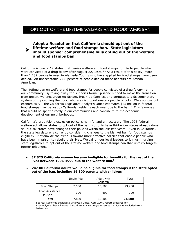## OPT OUT OF THE LIFETIME WELFARE AND FOODSTAMPS BAN

#### **lifetime welfare and food stamps ban. State legislators**<br>**Should sponsor comprehensive bills opting out of the we Adopt a Resolution that California should opt out of the should sponsor comprehensive bills opting out of the welfare and food stamps ban.**

California is one of 17 states that denies welfare and food stamps for life to people who were convicted of a drug felony after August 22, [1](#page-5-1)996. $*$ <sup>1</sup> As a result of this policy, more than 2,289 people in need in Alameda County who have applied for food stamps have been denied. An unacceptable 77.8 percent of people denied these benefits are African American.<sup>[2](#page-5-2)</sup>

The lifetime ban on welfare and food stamps for people convicted of a drug felony harms our community. By taking away the supports former prisoners need to make the transition from prison, we encourage recidivism, break-up families, and perpetuate a discriminatory system of imprisoning the poor, who are disproportionately people of color. We also lose out economically – the California Legislative Analyst's Office estimates \$25 million in federal food stamps may be lost to California residents each year due to the ban.<sup>3</sup> This is money that would be spent directly in our communities and contribute to the economic development of our neighborhoods.

California's drug felony exclusion policy is harmful and unnecessary. The 1996 federal welfare act allows states to opt out of the ban. Not only have thirty-four states already done so, but six states have changed their policies within the last two years. $4$  Even in California, the state legislature is currently considering changes to the blanket ban for food stamps eligibility. Nationwide the trend is toward more effective policies that enable people who have been in prison to rebuild their lives. We call on our local leaders to join us in urging state legislators to opt out of the lifetime welfare and food stamps ban that unfairly targets former prisoners.

- <span id="page-3-2"></span><span id="page-3-1"></span><span id="page-3-0"></span>• **37,825 California women became ineligible for benefits for the rest of their lives between 1996-1999 due to the welfare ban.[5](#page-5-5)**
- <span id="page-3-5"></span><span id="page-3-4"></span><span id="page-3-3"></span>• **24,100 California adults would be eligible for food stamps if the state opted out of the ban, including 16,300 parents with children:**

<span id="page-3-8"></span><span id="page-3-7"></span><span id="page-3-6"></span>

|                             | Single Adult | Adult with<br>Children | Total  |
|-----------------------------|--------------|------------------------|--------|
| Food Stamps                 | 7,500        | 15,700                 | 23,200 |
| Food Assistance<br>program* | 300          | 600                    | 900    |
| Total                       | 7,800        | 16,300                 | 24,100 |

Source: California Legislative Analyst's Office, April 2004, report prepared for Assemblymember Bill Maze. \* Food assistance program serves immigrants excluded from federal aid.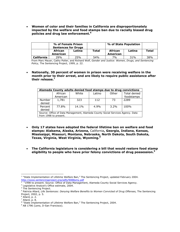• **Women of color and their families in California are disproportionately impacted by the welfare and food stamps ban due to racially biased drug policies and drug law enforcement.[6](#page-5-6)**

|                   | % of Female Prison<br><b>Sentences for Drugs</b> |        |       | % of State Population |        |       |
|-------------------|--------------------------------------------------|--------|-------|-----------------------|--------|-------|
|                   | African                                          | Latina | Total | African               | Latina | Total |
|                   | American                                         |        |       | American              |        |       |
| <b>California</b> | 29%                                              | 25%    | 54%   | 7%                    | 31%    | 38%   |

From Marc Mauer, Cathy Potler, and Richard Wolf, *Gender and Justice: Women, Drugs, and Sentencing Policy,* The Sentencing Project, 1999, p. 22.

• **Nationally, 30 percent of women in prison were receiving welfare in the month prior to their arrest, and are likely to require public assistance after their release.[7](#page-5-7)**

| Alameda County adults denied food stamps due to drug convictions                                        |          |       |        |       |                     |  |  |  |
|---------------------------------------------------------------------------------------------------------|----------|-------|--------|-------|---------------------|--|--|--|
|                                                                                                         | African  | White | Latino | Other | <b>Total denied</b> |  |  |  |
|                                                                                                         | American |       |        |       | foodstamps          |  |  |  |
| Number<br>denied                                                                                        | 1,781    | 323   | 112    | 73    | 2289                |  |  |  |
| Percent<br>denied                                                                                       | 77.8%    | 14.1% | 4.9%   | 3.2%  | 100%                |  |  |  |
| Source: Office of Data Management, Alameda County Social Services Agency. Data<br>from 1998 to present. |          |       |        |       |                     |  |  |  |

- **Only 17 states have adopted the federal lifetime ban on welfare and food stamps: Alabama, Alaska, Arizona,** California**, Georgia, Indiana, Kansas, Mississippi, Missouri, Montana, Nebraska, North Dakota, South Dakota, Texas, Virginia, West Virginia, Wyoming.[8](#page-5-8)**
- **The California legislature is considering a bill that would restore food stamp eligibility to people who have prior felony convictions of drug possession.[9](#page-9-0)**

<sup>2</sup> "1998 to present. Source: Office of Data Management, Alameda County Social Services Agency.

 $\overline{a}$ <sup>1</sup> "State Implementation of Lifetime Welfare Ban," The Sentencing Project, updated February 2004. <http://www.sentencingproject.org/pdfs/9088smy.pdf>

<sup>&</sup>lt;sup>3</sup> Legislative Analyst's Office estimate, 2004.

<sup>&</sup>lt;sup>4</sup> The Sentencing Project.

<sup>&</sup>lt;sup>5</sup> Patricia Allard, *Life Sentences: Denying Welfare Benefits to Women Convicted of Drug Offenses, The Sentencing* Project, 2002, p. 5.

<sup>&</sup>lt;sup>6</sup> Allard, p. 2.

 $^7$  Allard, p. 8.

<sup>&</sup>lt;sup>8</sup> "State Implementation of Lifetime Welfare Ban," The Sentencing Project, 2004.

<sup>&</sup>lt;sup>9</sup> AB 1796 (Leno, D-San Francisco).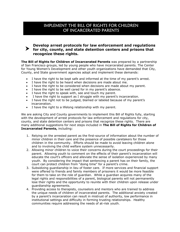## IMPLEMENT THE BILL OF RIGHTS FOR CHILDREN OF INCARCERATED PARENTS

## **Pevelop arrest protocols for law enforcement and regulations**<br> **For city, county, and state detention centers and prisons that recognize these rights.**

**The Bill of Rights for Children of Incarcerated Parents** was prepared by a partnership of San Francisco groups, led by young people who have incarcerated parents. The Center for Young Women's Development and other youth organizations have demanded that City, County, and State government agencies adopt and implement these demands:

- <span id="page-5-2"></span>I have the right to be kept safe and informed at the time of my parent's arrest.
- I have the right to be heard when decisions are made about me.
- I have the right to be considered when decisions are made about my parent.
- I have the right to be well cared for in my parent's absence.
- I have the right to speak with, see and touch my parent.
- I have the right to support as I struggle with my parent's incarceration.
- I have the right not to be judged, blamed or labeled because of my parent's incarceration.
- <span id="page-5-3"></span>• I have the right to a lifelong relationship with my parent.

We are asking City and County governments to implement this Bill of Rights fully, starting with the development of arrest protocols for law enforcement and regulations for city, county, and state detention centers and prisons that recognize these rights. There are many additional suggestions for next steps included in **The Bill of Rights for Children of Incarcerated Parents,** including:

- <span id="page-5-4"></span>1. Relying on the arrested parent as the first-source of information about the number of minor children in their care and the presence of possible caretakers for those children in the community. Efforts should be made to avoid leaving children alone and to involving the child welfare system unnecessarily.
- 2. Allowing minor children to voice their concerns during the court proceedings for their parent. Allowing youth to comment on the effects of their parent's incarceration will educate the court's officers and alleviate the sense of isolation experienced by many youth. By considering the impact that sentencing a parent has on their family, the court can protect children from "doing time" for a parent's crime.
- <span id="page-5-5"></span><span id="page-5-1"></span>3. Subsidizing guardianship in lieu of foster care. If more services and financial support were offered to friends and family members of prisoners it would be more feasible for them to take on the role of guardian. While a guardian acquires many of the legal rights and responsibilities of a parent, biological parents will not permanently lose their rights and the opportunity to reunite with their children upon release under guardianship agreements.
- <span id="page-5-8"></span><span id="page-5-7"></span><span id="page-5-6"></span><span id="page-5-0"></span>4. Providing access to therapists, counselors and mentors who are trained to address the unique needs of children of incarcerated parents. The additional anxiety created by a parent's incarceration can result in mistrust of authority, low performance in institutional settings and difficulty in forming trusting relationships. Healthy communities require addressing the needs of at-risk youth.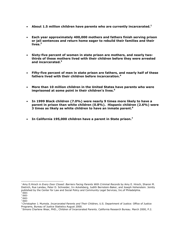- **About 1.5 million children have parents who are currently incarcerated.[1](#page-6-0)**
- **Each year approximately 400,000 mothers and fathers finish serving prison or jail sentences and return home eager to rebuild their families and their lives[.2](#page-6-1)**
- **Sixty-five percent of women in state prison are mothers, and nearly twothirds of these mothers lived with their children before they were arrested and incarcerated[.3](#page-6-2)**
- **Fifty-five percent of men in state prison are fathers, and nearly half of these fathers lived with their children before incarceration.[4](#page-6-3)**
- **More than 10 million children in the United States have parents who were imprisoned at some point in their children's lives.[5](#page-6-4)**
- **In 1999 Black children (7.0%) were nearly 9 times more likely to have a parent in prison than white children (0.8%). Hispanic children (2.6%) were 3 times as likely as white children to have an inmate parent.[6](#page-6-5)**
- **In California 195,000 children have a parent in State prison[.7](#page-6-6)**

<span id="page-6-0"></span> $\overline{a}$ <sup>1</sup> Amy E.Hirsch in *Every Door Closed: Barriers Facing Parents With Criminal Records* by Amy E. Hirsch, Sharon M. Dietrich, Rue Landau, Peter D. Schneider, Irv Ackelsberg, Judith Bernstein-Baker, and Joseph Hohenstein. Jointly published by the Center for Law and Social Policy and Community Legal Services, Inc.of Philadelphia.<br><sup>2</sup> IPID IBID.

<span id="page-6-2"></span><span id="page-6-1"></span> $3$  IBID

<span id="page-6-3"></span><sup>4</sup> IBID

<span id="page-6-4"></span> $<sup>5</sup>$  IBID</sup>

<span id="page-6-5"></span><sup>6</sup> Christopher J. Mumola. *Incarcerated Parents and Their Children,* U.S. Department of Justice: Office of Justice Programs, Bureau of Justice Statistics August 2000.

<span id="page-6-6"></span><sup>7</sup> Simons Charlene Wear, PHD., Children of Incarcerated Parents. California Research Bureau. March 2000, P.2.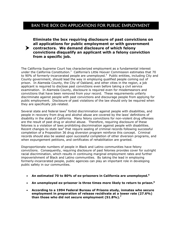## BAN THE BOX ON APPLICATIONS FOR PUBLIC EMPLOYMENT

#### h **contractors. We demand disclosure of which felony Eliminate the box requiring disclosure of past convictions on all applications for public employment or with government convictions disqualify an applicant with a felony conviction from a specific job.**

The California Supreme Court has characterized employment as a fundamental interest under the California Constitution.<sup>[1](#page-9-1)</sup> California's Little Hoover Commission estimates that 70 to 90% of formerly-incarcerated people are unemployed.<sup>[2](#page-9-2)</sup> Public entities, including City and County government, should lead the way in employing qualified people coming out of prison. In Alameda County, the City of Oakland, and other cities in the region, a job applicant is required to disclose past convictions even before taking a civil service examination. In Alameda County, disclosure is required even for misdemeanors and convictions that have been removed from your record. These requirements unfairly discriminate against people with past convictions and discourage people from applying for public employment. Disclosure of past violations of the law should only be required when they are specifically job-related.

Several state and federal laws<sup>3</sup> forbid discrimination against people with disabilities, and people in recovery from drug and alcohol abuse are covered by the laws' definitions of disability in the state of California. Many felony convictions for non-violent drug offenses are the result of past drug or alcohol abuse. Therefore, requiring disclosure of these felonies is a violation of laws prohibiting discrimination against people with disabilities. Recent changes to state law<sup>[4](#page-9-4)</sup> that require sealing of criminal records following successful completion of a Proposition 36 drug diversion program reinforce this concept. Criminal records should also be sealed upon successful completion of other diversion programs, and when expungement petitions, and certificates of rehabilitation are granted.

Disproportionate numbers of people in Black and Latino communities have felony convictions. Consequently, requiring disclosure of past felonies provides cover for outright racial discrimination, which results in continuing marginal employment rates and further impoverishment of Black and Latino communities. By taking the lead in employing formerly-incarcerated people, public agencies can play an important role in developing public safety in our communities.

- **An estimated 70 to 80% of ex-prisoners in California are unemployed.[5](#page-9-5)**
- **An unemployed ex-prisoner is three times more likely to return to prison.[6](#page-9-6)**
- **According to a 1994 Federal Bureau of Prisons study, inmates who secure employment in preparation of release recidivate at a lower rate (27.6%) than those who did not secure employment (51.8%)[.7](#page-9-7)**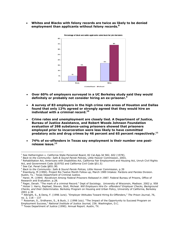• **Whites and Blacks with felony records are twice as likely to be denied employment than applicants without felony records.[8](#page-9-8)** 



Percentage of black and white applicants called back for job interviews

- **Over 60% of employers surveyed in a UC Berkeley study said they would definitely or probably not consider hiring an ex-prisoner.[9](#page-9-9)**
- **A survey of 83 employers in the high crime rate areas of Houston and Dallas found that only 12% agreed or strongly agreed that they would hire an individual with a criminal record[.10](#page-9-10)**
- **Crime rates and unemployment are closely tied. A Department of Justice, Bureau of Justice Assistance, and Robert Woods Johnson Foundation evaluation of 398 substance-using prisoners showed that prisoners employed prior to incarceration were less likely to have committed predatory acts and drug crimes by 46 percent and 65 percent respectively[.11](#page-9-11)**
- **74% of ex-offenders in Texas say employment is their number one postrelease issue[.12](#page-11-0)**

 $\overline{a}$ 

<sup>1</sup> See Hetherington v. California State Personnel Board, 82 Cal.App.3d 582, 602 (1978).

<sup>2</sup> *Back to the Community: Safe & Sound Parole Policies,* Little Hoover Commission, 2003,

<sup>&</sup>lt;sup>3</sup> Rehabilitation Act, Americans with Disabilities Act, California Fair Employment and Housing Act, Unruh Civil Rights Act, and Government Code (§19702 and California Civil Code §51.5)

<sup>4</sup> See Cal. Penal Code §851.90.

<sup>5</sup> *Back to the Community: Safe & Sound Parole Polices,* Little Hoover Commission, p.39 6

Eisenburg, M (1990). Project Rio Twelve Month Follow-up, March 1989 Intakes: Pardons and Paroles Division. Austin, Tx.: Texas Department of Criminal Justice. 7

<sup>&</sup>lt;sup>7</sup> Harer, M. (1994) *Recidivism Among Federal Prisoners Released in 1987.* Federal Bureau of Prisons, Office of Research and Evaluation. p.28.

<sup>&</sup>lt;sup>8</sup> Pager, Devah. "The mark of a criminal Record." Dept of Sociology. University of Wisconsin, Madison. 2002 p. 958<br><sup>9</sup> Holzer J. Harry, Raphael, Stoven, Stoll, Michoal, *Will Employers Hire Ex. offenders? Employer Checks,*  Holzer J. Harry, Raphael, Steven, Stoll, Micheal. *Will Employers Hire Ex- offenders? Employer Checks, Background Checks, and their Determinates.* Berkeley Program on Housing and Urban Policy, University of California, Berkeley

<sup>&</sup>lt;sup>10</sup> Albright, S., & Denq, F. (1996 June). "Employer Attitudes Toward Hiring Ex-Offenders," The Prison Journal, 76,

no. 2, 118 – 137<br><sup>11</sup> Rossman, S., Sridharen, S., & Buck, J. (1998 July). "The Impact of the Opportunity to Succeed Program on Employment Success," *National Institute of Justice Journal,* 236. Washington, D.C.

<sup>&</sup>lt;sup>12</sup> Texas Department of Justice (1990). Annual Report. Austin, TX.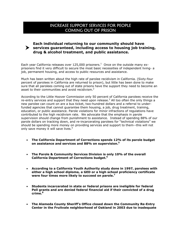## <span id="page-9-2"></span>INCREASE SUPPORT SERVICES FOR PEOPLE COMING OUT OF PRISON

## **Each individual returning to our community should have**<br> **Services guaranteed, including access to housing job training, drug & alcohol treatment, and public assistance.**

Each year California releases over 125,000 prisoners. $1$  Once on the outside many exprisoners find it very difficult to secure the most basic necessities of independent living- a job, permanent housing, and access to public resources and assistance.

<span id="page-9-1"></span>Much has been written about the high rate of parolee recidivism in California. (Sixty-four percent of parolees in California are returned to prison), but little has been done to make sure that all parolees coming out of state prisons have the support they need to become an asset to their communities and avoid recidivism.<sup>[2](#page-11-2)</sup>

<span id="page-9-3"></span>According to the Little Hoover Commission only 50 percent of California parolees receive the re-entry services and support that they need upon release.<sup>[3](#page-11-3)</sup> All too often the only things a new parolee can count on are a bus ticket, two-hundred dollars and a referral to underfunded agencies that cannot guarantee them housing, a job, drug treatment, training, education, or public assistance. Parole violations for minor infractions of regulations have contributed to the high recidivism rate. We advocate that the emphasis in parole supervision should change from punishment to assistance. Instead of spending 88% of our parole dollars on tracking down, and re-incarcerating parolees for "technical violations" we should be spending more money on providing services and support to them--this will not only save money it will save lives.<sup>[4](#page-11-4)</sup>

- <span id="page-9-4"></span>• **The California Department of Corrections spends 12% of its parole budget on assistance and services and 88% on supervision.[5](#page-11-5)**
- **The Parole & Community Services Division is only 10% of the overall California Department of Corrections budget.[6](#page-11-6)**
- <span id="page-9-5"></span>• **According to a California Youth Authority study done in 1997, parolees with either a high school diploma, a GED or a high school proficiency certificate were four times more likely to succeed on parole.[7](#page-11-7)**
- <span id="page-9-10"></span><span id="page-9-9"></span><span id="page-9-8"></span><span id="page-9-6"></span>• **Students incarcerated in state or federal prisons are ineligible for federal Pell grants and are denied federal financial aid if their convicted of a drug crime[.8](#page-11-8)**
- <span id="page-9-11"></span><span id="page-9-7"></span><span id="page-9-0"></span>• **The Alameda County Sheriff's Office closed down the Community Re-Entry Center in the Fruitvale neighborhood of Oakland in 2003 due to inadequate**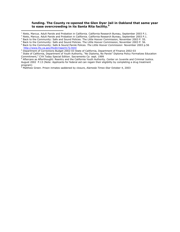#### **funding. The County re-opened the Glen Dyer Jail in Oakland that same year to ease overcrowding in its Santa Rita facility.[9](#page-11-9)**

 $\overline{a}$ 

<sup>&</sup>lt;sup>1</sup> Nieto, Marcus. Adult Parole and Probation in California. California Research Bureau, September 2003 P.1.

<sup>&</sup>lt;sup>2</sup> Nieto, Marcus. Adult Parole and Probation in California. California Research Bureau, September 2003 P.1.

<sup>&</sup>lt;sup>3</sup> Back to the Community: Safe and Sound Policies. The Little Hoover Commission, November 2003 P. 55.

<sup>4</sup> Back to the Community: Safe and Sound Policies. The Little Hoover Commission, November 2003 P. 56.

<sup>5</sup> Back to the Community: Safe & Sound Parole Polices. *The Little Hoover Commission* November 2003 p.56 <http://www.lhc.ca.gov/lhcdir/report172.html>

<sup>6</sup> Department of Corrections Budget 2002-03 State of California, Department of Finance 2002-03

<sup>&</sup>lt;sup>7</sup> State of California, Department of Youth Authority, "No Diploma, No Parole" Diploma Policy Formalizes Education Commitment," CYA Today Special Edition. Sacramento Ca sept. 1999

Aftercare as Afterthought: Reentry and the California Youth Authority. Center on Juvenile and Criminal Justice. August 2002 P.13 (Note: Applicants for federal aid can regain their eligibility by completing a drug treatment

program)<br><sup>9</sup> Matthew Green. Prison inmates saddened by closure, *Alameda Times-Star* October 4, 2003